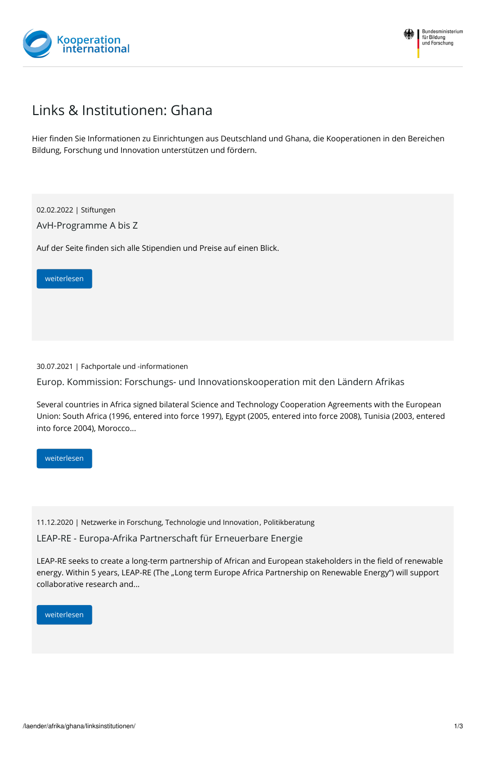



## Links & Institutionen: Ghana

Hier finden Sie Informationen zu Einrichtungen aus Deutschland und Ghana, die Kooperationen in den Bereichen Bildung, Forschung und Innovation unterstützen und fördern.

02.02.2022 | Stiftungen

AvH-Programme A bis Z

Auf der Seite finden sich alle Stipendien und Preise auf einen Blick.

[weiterlesen](https://www.kooperation-international.de/laender/afrika/ghana/linksinstitutionen/detail-alle-anzeigen/info/avh-programme-a-bis-z/)

30.07.2021 | Fachportale und -informationen

Europ. Kommission: Forschungs- und Innovationskooperation mit den Ländern Afrikas

Several countries in Africa signed bilateral Science and Technology Cooperation Agreements with the European Union: South Africa (1996, entered into force 1997), Egypt (2005, entered into force 2008), Tunisia (2003, entered into force 2004), Morocco...

[weiterlesen](https://www.kooperation-international.de/laender/afrika/ghana/linksinstitutionen/detail-alle-anzeigen/info/europ-kommission-forschungs-und-innovationskooperation-mit-den-laendern-afrikas/)

11.12.2020 | Netzwerke in Forschung, Technologie und Innovation, Politikberatung

LEAP-RE - Europa-Afrika Partnerschaft für Erneuerbare Energie

LEAP-RE seeks to create a long-term partnership of African and European stakeholders in the field of renewable energy. Within 5 years, LEAP-RE (The "Long term Europe Africa Partnership on Renewable Energy") will support collaborative research and...

[weiterlesen](https://www.kooperation-international.de/laender/afrika/ghana/linksinstitutionen/detail-alle-anzeigen/info/leap-re-europa-afrika-partnerschaft-fuer-erneuerbare-energie/)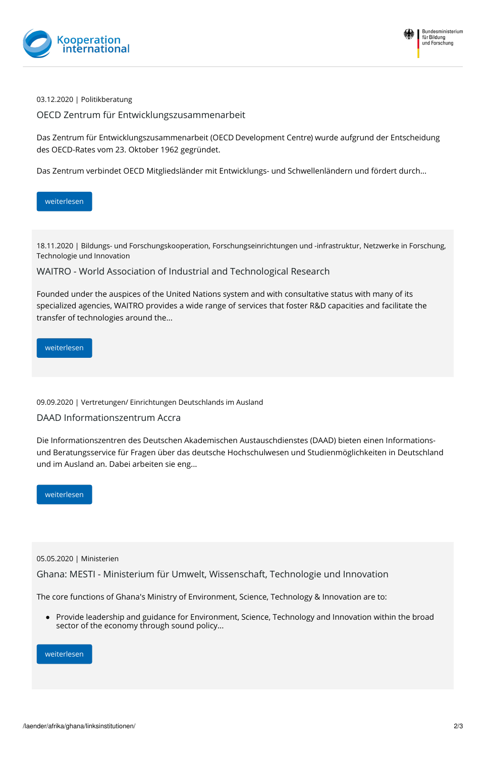



03.12.2020 | Politikberatung

OECD Zentrum für Entwicklungszusammenarbeit

Das Zentrum für Entwicklungszusammenarbeit (OECD Development Centre) wurde aufgrund der Entscheidung des OECD-Rates vom 23. Oktober 1962 gegründet.

Das Zentrum verbindet OECD Mitgliedsländer mit Entwicklungs- und Schwellenländern und fördert durch...

## [weiterlesen](https://www.kooperation-international.de/laender/afrika/ghana/linksinstitutionen/detail-alle-anzeigen/info/oecd-zentrum-fuer-entwicklungszusammenarbeit/)

18.11.2020 | Bildungs- und Forschungskooperation, Forschungseinrichtungen und -infrastruktur, Netzwerke in Forschung, Technologie und Innovation

WAITRO - World Association of Industrial and Technological Research

Founded under the auspices of the United Nations system and with consultative status with many of its specialized agencies, WAITRO provides a wide range of services that foster R&D capacities and facilitate the transfer of technologies around the...

## [weiterlesen](https://www.kooperation-international.de/laender/afrika/ghana/linksinstitutionen/detail-alle-anzeigen/info/waitro-world-association-of-industrial-and-technological-research/)

09.09.2020 | Vertretungen/ Einrichtungen Deutschlands im Ausland

## DAAD Informationszentrum Accra

Die Informationszentren des Deutschen Akademischen Austauschdienstes (DAAD) bieten einen Informationsund Beratungsservice für Fragen über das deutsche Hochschulwesen und Studienmöglichkeiten in Deutschland und im Ausland an. Dabei arbeiten sie eng...

[weiterlesen](https://www.kooperation-international.de/laender/afrika/ghana/linksinstitutionen/detail-alle-anzeigen/info/daad-informationszentrum-accra/)

05.05.2020 | Ministerien

Ghana: MESTI - Ministerium für Umwelt, Wissenschaft, Technologie und Innovation

The core functions of Ghana's Ministry of Environment, Science, Technology & Innovation are to:

Provide leadership and guidance for Environment, Science, Technology and Innovation within the broad sector of the economy through sound policy...

[weiterlesen](https://www.kooperation-international.de/laender/afrika/ghana/linksinstitutionen/detail-alle-anzeigen/info/ghana-mesti-ministerium-fuer-umwelt-wissenschaft-technologie-und-innovation/)